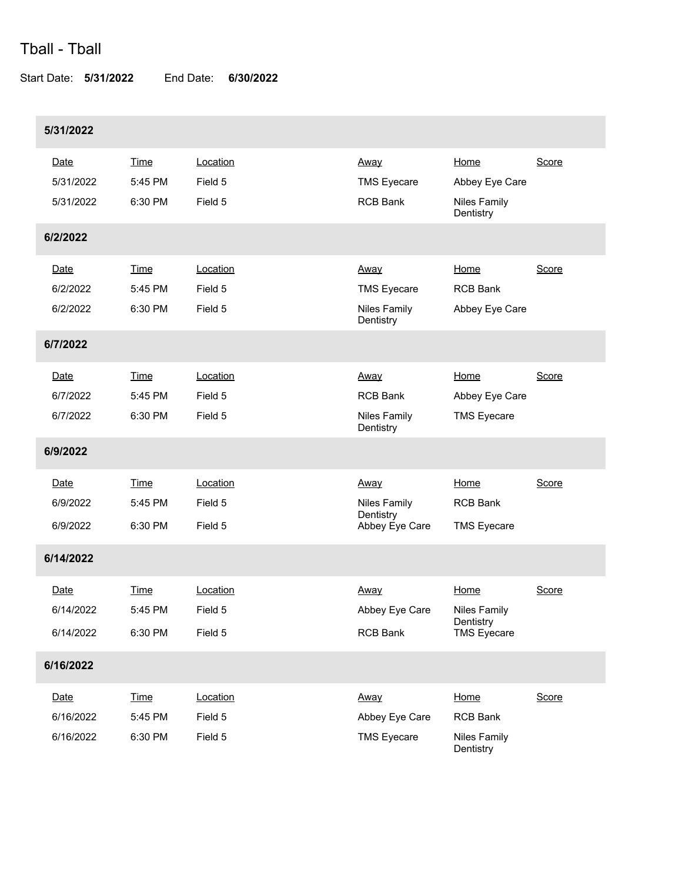## Tball - Tball

Start Date: **5/31/2022** End Date: **6/30/2022**

| 5/31/2022                      |                                   |                                |                                                                       |                                                                |       |  |  |  |
|--------------------------------|-----------------------------------|--------------------------------|-----------------------------------------------------------------------|----------------------------------------------------------------|-------|--|--|--|
| Date<br>5/31/2022<br>5/31/2022 | Time<br>5:45 PM<br>6:30 PM        | Location<br>Field 5<br>Field 5 | <u>Away</u><br><b>TMS Eyecare</b><br><b>RCB Bank</b>                  | Home<br>Abbey Eye Care<br><b>Niles Family</b><br>Dentistry     | Score |  |  |  |
| 6/2/2022                       |                                   |                                |                                                                       |                                                                |       |  |  |  |
| Date<br>6/2/2022<br>6/2/2022   | <b>Time</b><br>5:45 PM<br>6:30 PM | Location<br>Field 5<br>Field 5 | <u>Away</u><br><b>TMS Eyecare</b><br><b>Niles Family</b><br>Dentistry | Home<br><b>RCB Bank</b><br>Abbey Eye Care                      | Score |  |  |  |
| 6/7/2022                       |                                   |                                |                                                                       |                                                                |       |  |  |  |
| Date<br>6/7/2022<br>6/7/2022   | Time<br>5:45 PM<br>6:30 PM        | Location<br>Field 5<br>Field 5 | <u>Away</u><br><b>RCB Bank</b><br><b>Niles Family</b><br>Dentistry    | Home<br>Abbey Eye Care<br><b>TMS Eyecare</b>                   | Score |  |  |  |
| 6/9/2022                       |                                   |                                |                                                                       |                                                                |       |  |  |  |
| Date<br>6/9/2022<br>6/9/2022   | <b>Time</b><br>5:45 PM<br>6:30 PM | Location<br>Field 5<br>Field 5 | <u>Away</u><br><b>Niles Family</b><br>Dentistry<br>Abbey Eye Care     | Home<br><b>RCB Bank</b><br><b>TMS Eyecare</b>                  | Score |  |  |  |
| 6/14/2022                      |                                   |                                |                                                                       |                                                                |       |  |  |  |
| Date<br>6/14/2022<br>6/14/2022 | Time<br>5:45 PM<br>6:30 PM        | Location<br>Field 5<br>Field 5 | <u>Away</u><br>Abbey Eye Care<br><b>RCB Bank</b>                      | Home<br><b>Niles Family</b><br>Dentistry<br><b>TMS Eyecare</b> | Score |  |  |  |
| 6/16/2022                      |                                   |                                |                                                                       |                                                                |       |  |  |  |
| Date<br>6/16/2022<br>6/16/2022 | <b>Time</b><br>5:45 PM<br>6:30 PM | Location<br>Field 5<br>Field 5 | Away<br>Abbey Eye Care<br><b>TMS Eyecare</b>                          | Home<br><b>RCB Bank</b><br><b>Niles Family</b><br>Dentistry    | Score |  |  |  |